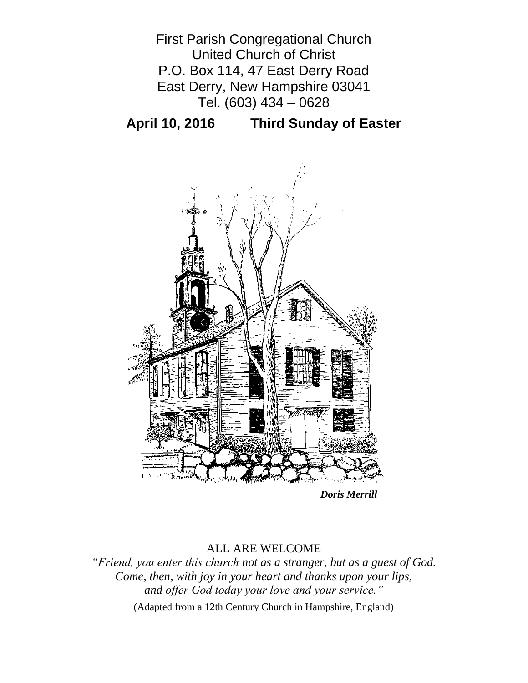

**April 10, 2016 Third Sunday of Easter**



*Doris Merrill*

## ALL ARE WELCOME

*"Friend, you enter this church not as a stranger, but as a guest of God. Come, then, with joy in your heart and thanks upon your lips, and offer God today your love and your service."*

(Adapted from a 12th Century Church in Hampshire, England)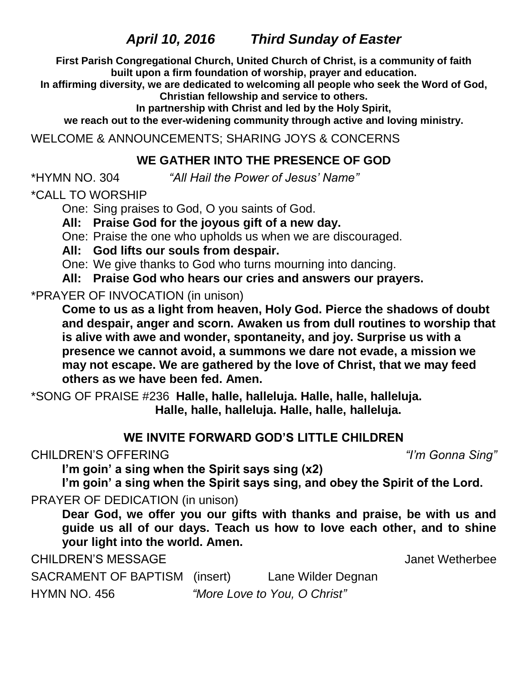# *April 10, 2016 Third Sunday of Easter*

**First Parish Congregational Church, United Church of Christ, is a community of faith built upon a firm foundation of worship, prayer and education.**

**In affirming diversity, we are dedicated to welcoming all people who seek the Word of God, Christian fellowship and service to others.**

**In partnership with Christ and led by the Holy Spirit,**

**we reach out to the ever-widening community through active and loving ministry.**

WELCOME & ANNOUNCEMENTS; SHARING JOYS & CONCERNS

## **WE GATHER INTO THE PRESENCE OF GOD**

\*HYMN NO. 304 *"All Hail the Power of Jesus' Name"*

\*CALL TO WORSHIP

One: Sing praises to God, O you saints of God.

**All: Praise God for the joyous gift of a new day.**

One: Praise the one who upholds us when we are discouraged.

**All: God lifts our souls from despair.**

One: We give thanks to God who turns mourning into dancing.

**All: Praise God who hears our cries and answers our prayers.**

\*PRAYER OF INVOCATION (in unison)

**Come to us as a light from heaven, Holy God. Pierce the shadows of doubt and despair, anger and scorn. Awaken us from dull routines to worship that is alive with awe and wonder, spontaneity, and joy. Surprise us with a presence we cannot avoid, a summons we dare not evade, a mission we may not escape. We are gathered by the love of Christ, that we may feed others as we have been fed. Amen.**

\*SONG OF PRAISE #236 **Halle, halle, halleluja. Halle, halle, halleluja. Halle, halle, halleluja. Halle, halle, halleluja.**

# **WE INVITE FORWARD GOD'S LITTLE CHILDREN**

# CHILDREN'S OFFERING *"I'm Gonna Sing"*

**I'm goin' a sing when the Spirit says sing (x2)**

**I'm goin' a sing when the Spirit says sing, and obey the Spirit of the Lord.**

PRAYER OF DEDICATION (in unison)

**Dear God, we offer you our gifts with thanks and praise, be with us and guide us all of our days. Teach us how to love each other, and to shine your light into the world. Amen.**

CHILDREN'S MESSAGE Janet Wetherbee

SACRAMENT OF BAPTISM (insert) Lane Wilder Degnan HYMN NO. 456 *"More Love to You, O Christ"*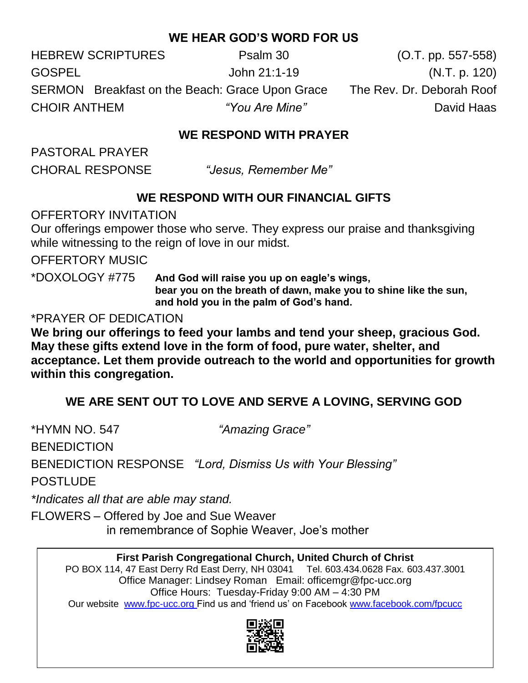## **WE HEAR GOD'S WORD FOR US**

HEBREW SCRIPTURES Psalm 30 (O.T. pp. 557-558) GOSPEL John 21:1-19 (N.T. p. 120) SERMON Breakfast on the Beach: Grace Upon Grace The Rev. Dr. Deborah Roof CHOIR ANTHEM *"You Are Mine"* David Haas

## **WE RESPOND WITH PRAYER**

PASTORAL PRAYER

CHORAL RESPONSE *"Jesus, Remember Me"* 

## **WE RESPOND WITH OUR FINANCIAL GIFTS**

OFFERTORY INVITATION

Our offerings empower those who serve. They express our praise and thanksgiving while witnessing to the reign of love in our midst.

OFFERTORY MUSIC

\*DOXOLOGY #775 **And God will raise you up on eagle's wings, bear you on the breath of dawn, make you to shine like the sun, and hold you in the palm of God's hand.**

\*PRAYER OF DEDICATION

**We bring our offerings to feed your lambs and tend your sheep, gracious God. May these gifts extend love in the form of food, pure water, shelter, and acceptance. Let them provide outreach to the world and opportunities for growth within this congregation.**

# **WE ARE SENT OUT TO LOVE AND SERVE A LOVING, SERVING GOD**

\*HYMN NO. 547 *"Amazing Grace"* **BENEDICTION** BENEDICTION RESPONSE *"Lord, Dismiss Us with Your Blessing"* POSTLUDE *\*Indicates all that are able may stand.* FLOWERS – Offered by Joe and Sue Weaver in remembrance of Sophie Weaver, Joe's mother

**First Parish Congregational Church, United Church of Christ** PO BOX 114, 47 East Derry Rd East Derry, NH 03041 Tel. 603.434.0628 Fax. 603.437.3001 Office Manager: Lindsey Roman Email: officemgr@fpc-ucc.org Office Hours: Tuesday-Friday 9:00 AM – 4:30 PM Our website [www.fpc-ucc.org](http://www.fpc-ucc.org/) Find us and 'friend us' on Facebook [www.facebook.com/fpcucc](http://www.facebook.com/fpcucc)

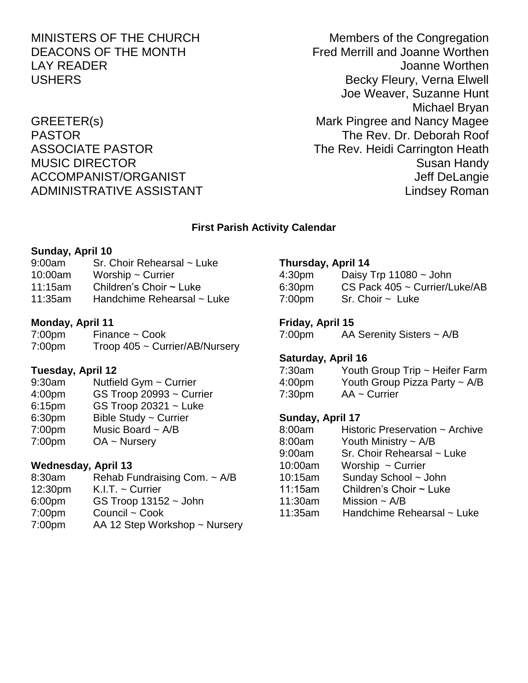MINISTERS OF THE CHURCH Members of the Congregation DEACONS OF THE MONTH Fred Merrill and Joanne Worthen LAY READER Joanne Worthen USHERS **Becky Fleury, Verna Elwell** Joe Weaver, Suzanne Hunt Michael Bryan GREETER(s) **GREETER(s) Mark Pingree and Nancy Magee** PASTOR The Rev. Dr. Deborah Roof ASSOCIATE PASTOR The Rev. Heidi Carrington Heath MUSIC DIRECTOR **Susan Handy** Susan Handy ACCOMPANIST/ORGANIST ACCOMPANIST/ORGANIST ADMINISTRATIVE ASSISTANT AND THE Lindsey Roman

#### **First Parish Activity Calendar**

#### **Sunday, April 10**

- 9:00am Sr. Choir Rehearsal ~ Luke
- 10:00am Worship ~ Currier
- 11:15am Children's Choir ~ Luke
- 11:35am Handchime Rehearsal ~ Luke

#### **Monday, April 11**

| 7:00 <sub>pm</sub> | Finance $\sim$ Cook            |
|--------------------|--------------------------------|
| 7:00 <sub>pm</sub> | Troop 405 ~ Currier/AB/Nursery |

## **Tuesday, April 12**

- 9:30am Nutfield Gym ~ Currier
- 4:00pm GS Troop 20993 ~ Currier
- 6:15pm GS Troop 20321 ~ Luke
- 6:30pm Bible Study ~ Currier
- 7:00pm Music Board ~ A/B
- 7:00pm OA ~ Nursery

### **Wednesday, April 13**

- 8:30am Rehab Fundraising Com. ~ A/B 12:30pm K.I.T. ~ Currier 6:00pm GS Troop 13152 ~ John 7:00pm Council ~ Cook
- 7:00pm AA 12 Step Workshop ~ Nursery

#### **Thursday, April 14**

| 4:30 <sub>pm</sub> | Daisy Trp $11080 \sim$ John     |
|--------------------|---------------------------------|
| 6:30 <sub>pm</sub> | $CS$ Pack 405 ~ Currier/Luke/AB |
| 7:00 <sub>pm</sub> | $Sr.$ Choir $\sim$ Luke         |

#### **Friday, April 15**

7:00pm AA Serenity Sisters ~ A/B

### **Saturday, April 16**

| 7:30am | Youth Group Trip ~ Heifer Farm     |
|--------|------------------------------------|
| 4:00pm | Youth Group Pizza Party $\sim$ A/B |
| 7:30pm | $AA \sim$ Currier                  |

### **Sunday, April 17**

| 8:00am  | Historic Preservation ~ Archive |  |
|---------|---------------------------------|--|
| 8:00am  | Youth Ministry ~ A/B            |  |
| 9:00am  | Sr. Choir Rehearsal ~ Luke      |  |
| 10:00am | Worship $\sim$ Currier          |  |
| 10:15am | Sunday School ~ John            |  |
| 11:15am | Children's Choir $\sim$ Luke    |  |
| 11:30am | Mission $\sim$ A/B              |  |
| 11:35am | Handchime Rehearsal ~ Luke      |  |
|         |                                 |  |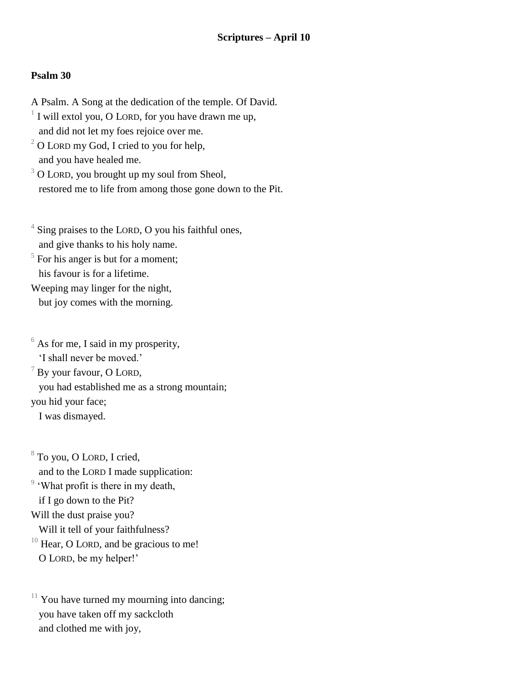## **Psalm 30**

A Psalm. A Song at the dedication of the temple. Of David.  $1$  I will extol you, O LORD, for you have drawn me up, and did not let my foes rejoice over me.

 $2$  O LORD my God, I cried to you for help, and you have healed me.

<sup>3</sup> O LORD, you brought up my soul from Sheol, restored me to life from among those gone down to the Pit.

 $4$  Sing praises to the LORD, O you his faithful ones, and give thanks to his holy name.

 $<sup>5</sup>$  For his anger is but for a moment;</sup> his favour is for a lifetime.

Weeping may linger for the night, but joy comes with the morning.

 $6$  As for me, I said in my prosperity, 'I shall never be moved.'  $\frac{7}{7}$  By your favour, O LORD, you had established me as a strong mountain; you hid your face; I was dismayed.

<sup>8</sup> To you, O LORD, I cried, and to the LORD I made supplication:  $9$  'What profit is there in my death, if I go down to the Pit? Will the dust praise you? Will it tell of your faithfulness? <sup>10</sup> Hear, O LORD, and be gracious to me! O LORD, be my helper!'

 $11$  You have turned my mourning into dancing; you have taken off my sackcloth and clothed me with joy,